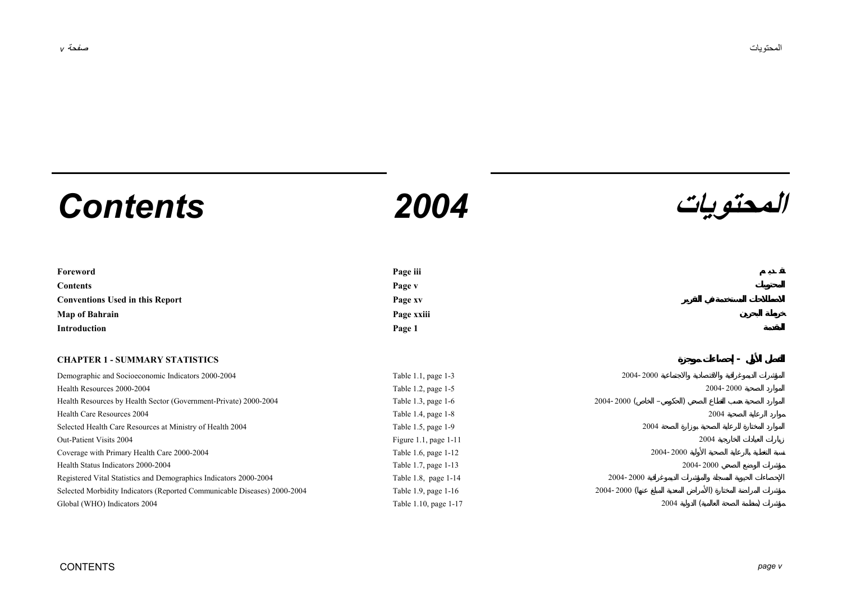# **المحتويات** *2004 Contents*



| Foreword                               | Page iii   |
|----------------------------------------|------------|
| <b>Contents</b>                        | Page v     |
| <b>Conventions Used in this Report</b> | Page xv    |
| <b>Map of Bahrain</b>                  | Page xxiii |
| <b>Introduction</b>                    | Page 1     |

## **CHAPTER 1 - SUMMARY STATISTICS -**

| Demographic and Socioeconomic Indicators 2000-2004                       | Table 1.1, page 1-3      | 2004-2000                            |
|--------------------------------------------------------------------------|--------------------------|--------------------------------------|
| Health Resources 2000-2004                                               | Table 1.2, page 1-5      | 2004-2000                            |
| Health Resources by Health Sector (Government-Private) 2000-2004         | Table 1.3, page 1-6      | $2004 - 2000$ (<br>$\qquad \qquad -$ |
| Health Care Resources 2004                                               | Table 1.4, page $1-8$    | 2004                                 |
| Selected Health Care Resources at Ministry of Health 2004                | Table $1.5$ , page $1-9$ | 2004                                 |
| Out-Patient Visits 2004                                                  | Figure 1.1, page $1-11$  | 2004                                 |
| Coverage with Primary Health Care 2000-2004                              | Table 1.6, page 1-12     | 2004-2000                            |
| Health Status Indicators 2000-2004                                       | Table 1.7, page 1-13     | 2004-2000                            |
| Registered Vital Statistics and Demographics Indicators 2000-2004        | Table 1.8, page 1-14     | 2004-2000                            |
| Selected Morbidity Indicators (Reported Communicable Diseases) 2000-2004 | Table 1.9, page 1-16     | $2004 - 2000$ (                      |
| Global (WHO) Indicators 2004                                             | Table 1.10, page 1-17    | 2004                                 |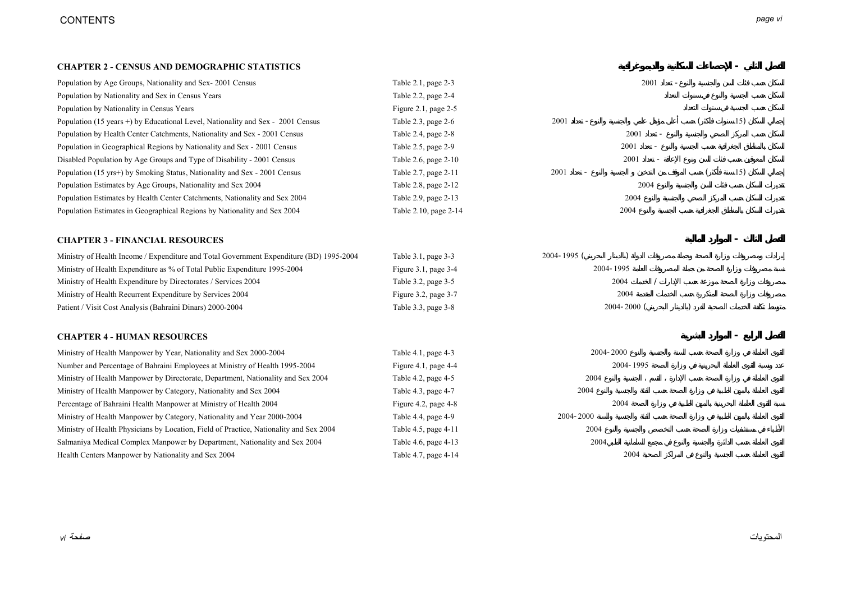# CONTENTS *page vi*

#### **CHAPTER 2 - CENSUS AND DEMOGRAPHIC STATISTICS -**

| Population by Age Groups, Nationality and Sex-2001 Census                               | Table 2.1, page 2-3       | 2001            |  |     |
|-----------------------------------------------------------------------------------------|---------------------------|-----------------|--|-----|
| Population by Nationality and Sex in Census Years                                       | Table 2.2, page 2-4       |                 |  |     |
| Population by Nationality in Census Years                                               | Figure 2.1, page 2-5      |                 |  |     |
| Population (15 years +) by Educational Level, Nationality and Sex - 2001 Census         | Table 2.3, page 2-6       | 2001            |  | 15) |
| Population by Health Center Catchments, Nationality and Sex - 2001 Census               | Table 2.4, page 2-8       | 2001            |  |     |
| Population in Geographical Regions by Nationality and Sex - 2001 Census                 | Table 2.5, page 2-9       | 2001            |  |     |
| Disabled Population by Age Groups and Type of Disability - 2001 Census                  | Table 2.6, page 2-10      | 2001            |  |     |
| Population (15 yrs+) by Smoking Status, Nationality and Sex - 2001 Census               | Table 2.7, page 2-11      | 2001            |  | 15) |
| Population Estimates by Age Groups, Nationality and Sex 2004                            | Table 2.8, page 2-12      | 2004            |  |     |
| Population Estimates by Health Center Catchments, Nationality and Sex 2004              | Table 2.9, page 2-13      | 2004            |  |     |
| Population Estimates in Geographical Regions by Nationality and Sex 2004                | Table 2.10, page 2-14     | 2004            |  |     |
| <b>CHAPTER 3 - FINANCIAL RESOURCES</b>                                                  |                           |                 |  |     |
| Ministry of Health Income / Expenditure and Total Government Expenditure (BD) 1995-2004 | Table 3.1, page 3-3       | 2004-1995 (     |  |     |
| Ministry of Health Expenditure as % of Total Public Expenditure 1995-2004               | Figure $3.1$ , page $3-4$ | 2004-1995       |  |     |
| Ministry of Health Expenditure by Directorates / Services 2004                          | Table 3.2, page 3-5       | 2004            |  |     |
| Ministry of Health Recurrent Expenditure by Services 2004                               | Figure 3.2, page 3-7      | 2004            |  |     |
| Patient / Visit Cost Analysis (Bahraini Dinars) 2000-2004                               | Table 3.3, page 3-8       | $2004 - 2000$ ( |  |     |
| <b>CHAPTER 4 - HUMAN RESOURCES</b>                                                      |                           |                 |  |     |
| Ministry of Health Manpower by Year, Nationality and Sex 2000-2004                      | Table 4.1, page 4-3       | 2004-2000       |  |     |
| Number and Percentage of Bahraini Employees at Ministry of Health 1995-2004             | Figure 4.1, page $4-4$    | 2004-1995       |  |     |
| Ministry of Health Manpower by Directorate, Department, Nationality and Sex 2004        | Table 4.2, page 4-5       | 2004            |  |     |
| Ministry of Health Manpower by Category, Nationality and Sex 2004                       | Table 4.3, page 4-7       | 2004            |  |     |
| Percentage of Bahraini Health Manpower at Ministry of Health 2004                       | Figure 4.2, page 4-8      | 2004            |  |     |
| Ministry of Health Manpower by Category, Nationality and Year 2000-2004                 | Table 4.4, page 4-9       | 2004-2000       |  |     |
| Ministry of Health Physicians by Location, Field of Practice, Nationality and Sex 2004  | Table 4.5, page 4-11      | 2004            |  |     |
| Salmaniya Medical Complex Manpower by Department, Nationality and Sex 2004              | Table 4.6, page 4-13      | 2004            |  |     |
| Health Centers Manpower by Nationality and Sex 2004                                     | Table 4.7, page 4-14      | 2004            |  |     |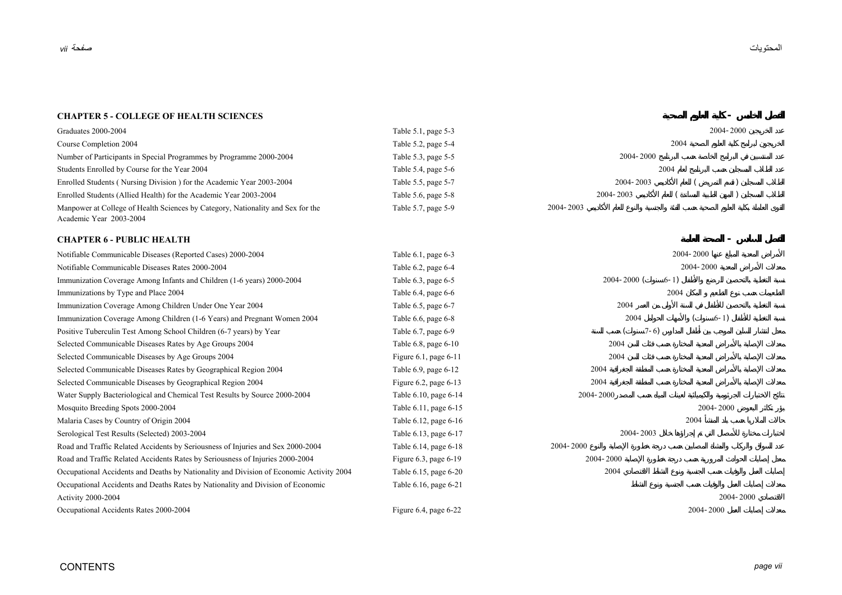#### **CHAPTER 5 - COLLEGE OF HEALTH SCIENCES-**

| Graduates 2000-2004                                                                                        | Table 5.1, page 5-3      |           |               |  |  | 2004-2000 |
|------------------------------------------------------------------------------------------------------------|--------------------------|-----------|---------------|--|--|-----------|
| Course Completion 2004                                                                                     | Table $5.2$ , page $5-4$ |           | 2004          |  |  |           |
| Number of Participants in Special Programmes by Programme 2000-2004                                        | Table 5.3, page 5-5      |           | $2004 - 2000$ |  |  |           |
| Students Enrolled by Course for the Year 2004                                                              | Table 5.4, page $5-6$    |           | 2004          |  |  |           |
| Enrolled Students (Nursing Division) for the Academic Year 2003-2004                                       | Table 5.5, page 5-7      |           | 2004-2003     |  |  |           |
| Enrolled Students (Allied Health) for the Academic Year 2003-2004                                          | Table 5.6, page 5-8      |           | 2004-2003     |  |  |           |
| Manpower at College of Health Sciences by Category, Nationality and Sex for the<br>Academic Year 2003-2004 | Table 5.7, page 5-9      | 2004-2003 |               |  |  |           |

### **CHAPTER 6 - PUBLIC HEALTH -**

| Notifiable Communicable Diseases (Reported Cases) 2000-2004                             | Table 6.1, page 6-3        | 2004-2000       |           |  |
|-----------------------------------------------------------------------------------------|----------------------------|-----------------|-----------|--|
| Notifiable Communicable Diseases Rates 2000-2004                                        | Table 6.2, page 6-4        |                 | 2004-2000 |  |
| Immunization Coverage Among Infants and Children (1-6 years) 2000-2004                  | Table $6.3$ , page $6-5$   | $2004 - 2000$ ( | $6 - 1$   |  |
| Immunizations by Type and Place 2004                                                    | Table 6.4, page 6-6        |                 | 2004      |  |
| Immunization Coverage Among Children Under One Year 2004                                | Table 6.5, page 6-7        | 2004            |           |  |
| Immunization Coverage Among Children (1-6 Years) and Pregnant Women 2004                | Table 6.6, page 6-8        | 2004            | $6-1)$    |  |
| Positive Tuberculin Test Among School Children (6-7 years) by Year                      | Table 6.7, page 6-9        | $7-6$           |           |  |
| Selected Communicable Diseases Rates by Age Groups 2004                                 | Table 6.8, page 6-10       | 2004            |           |  |
| Selected Communicable Diseases by Age Groups 2004                                       | Figure 6.1, page 6-11      | 2004            |           |  |
| Selected Communicable Diseases Rates by Geographical Region 2004                        | Table 6.9, page 6-12       | 2004            |           |  |
| Selected Communicable Diseases by Geographical Region 2004                              | Figure $6.2$ , page $6-13$ | 2004            |           |  |
| Water Supply Bacteriological and Chemical Test Results by Source 2000-2004              | Table 6.10, page 6-14      | 2004-2000       |           |  |
| Mosquito Breeding Spots 2000-2004                                                       | Table 6.11, page 6-15      |                 | 2004-2000 |  |
| Malaria Cases by Country of Origin 2004                                                 | Table 6.12, page 6-16      |                 | 2004      |  |
| Serological Test Results (Selected) 2003-2004                                           | Table 6.13, page 6-17      | 2004-2003       |           |  |
| Road and Traffic Related Accidents by Seriousness of Injuries and Sex 2000-2004         | Table 6.14, page 6-18      | 2004-2000       |           |  |
| Road and Traffic Related Accidents Rates by Seriousness of Injuries 2000-2004           | Figure $6.3$ , page $6-19$ | 2004-2000       |           |  |
| Occupational Accidents and Deaths by Nationality and Division of Economic Activity 2004 | Table 6.15, page 6-20      | 2004            |           |  |
| Occupational Accidents and Deaths Rates by Nationality and Division of Economic         | Table 6.16, page 6-21      |                 |           |  |
| <b>Activity 2000-2004</b>                                                               |                            |                 | 2004-2000 |  |
| Occupational Accidents Rates 2000-2004                                                  | Figure $6.4$ , page $6-22$ |                 | 2004-2000 |  |
|                                                                                         |                            |                 |           |  |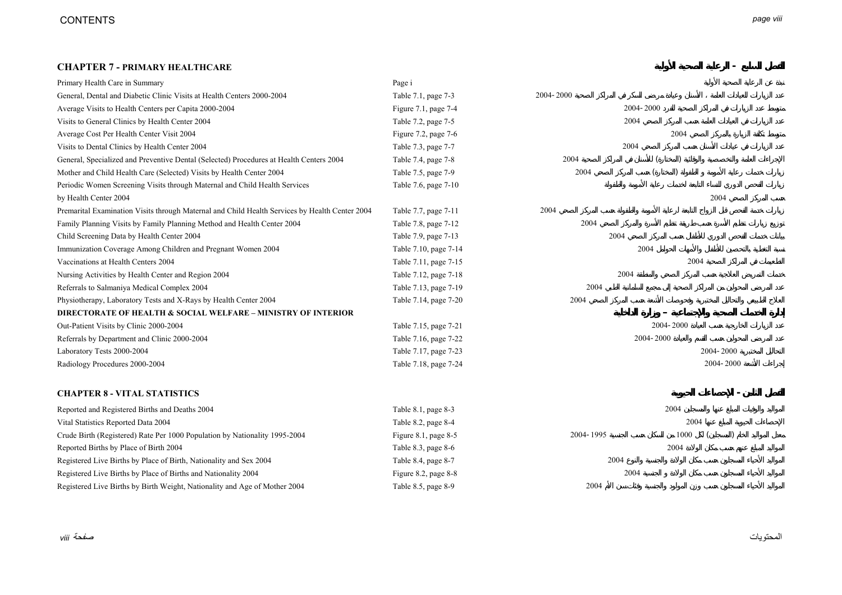# **CHAPTER 7 - PRIMARY HEALTHCARE -**

| Primary Health Care in Summary                                                                 | Page i                |           |           |
|------------------------------------------------------------------------------------------------|-----------------------|-----------|-----------|
| General, Dental and Diabetic Clinic Visits at Health Centers 2000-2004                         | Table 7.1, page 7-3   | 2004-2000 |           |
| Average Visits to Health Centers per Capita 2000-2004                                          | Figure 7.1, page 7-4  | 2004-2000 |           |
| Visits to General Clinics by Health Center 2004                                                | Table 7.2, page 7-5   | 2004      |           |
| Average Cost Per Health Center Visit 2004                                                      | Figure 7.2, page 7-6  |           | 2004      |
| Visits to Dental Clinics by Health Center 2004                                                 | Table 7.3, page 7-7   | 2004      |           |
| General, Specialized and Preventive Dental (Selected) Procedures at Health Centers 2004        | Table 7.4, page 7-8   | 2004      |           |
| Mother and Child Health Care (Selected) Visits by Health Center 2004                           | Table 7.5, page 7-9   | 2004      |           |
| Periodic Women Screening Visits through Maternal and Child Health Services                     | Table 7.6, page 7-10  |           |           |
| by Health Center 2004                                                                          |                       |           | 2004      |
| Premarital Examination Visits through Maternal and Child Health Services by Health Center 2004 | Table 7.7, page 7-11  | 2004      |           |
| Family Planning Visits by Family Planning Method and Health Center 2004                        | Table 7.8, page 7-12  | 2004      |           |
| Child Screening Data by Health Center 2004                                                     | Table 7.9, page 7-13  | 2004      |           |
| Immunization Coverage Among Children and Pregnant Women 2004                                   | Table 7.10, page 7-14 | 2004      |           |
| Vaccinations at Health Centers 2004                                                            | Table 7.11, page 7-15 |           | 2004      |
| Nursing Activities by Health Center and Region 2004                                            | Table 7.12, page 7-18 | 2004      |           |
| Referrals to Salmaniya Medical Complex 2004                                                    | Table 7.13, page 7-19 | 2004      |           |
| Physiotherapy, Laboratory Tests and X-Rays by Health Center 2004                               | Table 7.14, page 7-20 | 2004      |           |
| <b>DIRECTORATE OF HEALTH &amp; SOCIAL WELFARE - MINISTRY OF INTERIOR</b>                       |                       |           |           |
| Out-Patient Visits by Clinic 2000-2004                                                         | Table 7.15, page 7-21 |           | 2004-2000 |
| Referrals by Department and Clinic 2000-2004                                                   | Table 7.16, page 7-22 | 2004-2000 |           |
| Laboratory Tests 2000-2004                                                                     | Table 7.17, page 7-23 |           | 2004-2000 |
| Radiology Procedures 2000-2004                                                                 | Table 7.18, page 7-24 |           | 2004-2000 |
| <b>CHAPTER 8 - VITAL STATISTICS</b>                                                            |                       |           |           |
| Reported and Registered Births and Deaths 2004                                                 | Table 8.1, page 8-3   |           | 2004      |
| Vital Statistics Reported Data 2004                                                            | Table 8.2, page 8-4   |           | 2004      |
| Crude Birth (Registered) Rate Per 1000 Population by Nationality 1995-2004                     | Figure 8.1, page 8-5  | 2004-1995 | 1000      |
| Reported Births by Place of Birth 2004                                                         | Table 8.3, page 8-6   |           | 2004      |
| Registered Live Births by Place of Birth, Nationality and Sex 2004                             | Table 8.4, page 8-7   | 2004      |           |
| Registered Live Births by Place of Births and Nationality 2004                                 | Figure 8.2, page 8-8  | 2004      |           |
| Registered Live Births by Birth Weight, Nationality and Age of Mother 2004                     | Table 8.5, page 8-9   | 2004      |           |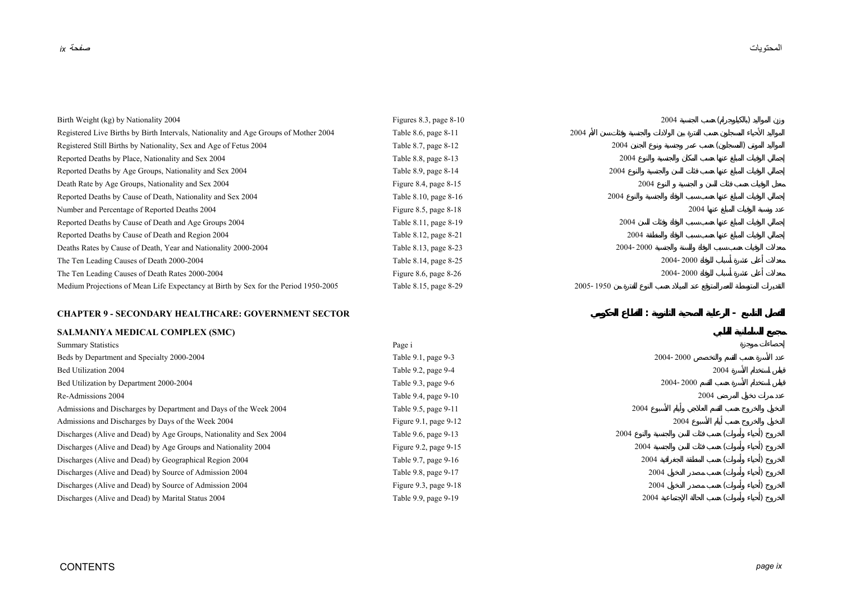| Birth Weight (kg) by Nationality 2004                                                | Figures 8.3, page $8-10$ | 2004          |           |  |
|--------------------------------------------------------------------------------------|--------------------------|---------------|-----------|--|
| Registered Live Births by Birth Intervals, Nationality and Age Groups of Mother 2004 | Table 8.6, page 8-11     | 2004          |           |  |
| Registered Still Births by Nationality, Sex and Age of Fetus 2004                    | Table 8.7, page 8-12     | 2004          |           |  |
| Reported Deaths by Place, Nationality and Sex 2004                                   | Table 8.8, page 8-13     | 2004          |           |  |
| Reported Deaths by Age Groups, Nationality and Sex 2004                              | Table 8.9, page 8-14     | 2004          |           |  |
| Death Rate by Age Groups, Nationality and Sex 2004                                   | Figure 8.4, page $8-15$  | 2004          |           |  |
| Reported Deaths by Cause of Death, Nationality and Sex 2004                          | Table 8.10, page 8-16    | 2004          |           |  |
| Number and Percentage of Reported Deaths 2004                                        | Figure 8.5, page $8-18$  |               | 2004      |  |
| Reported Deaths by Cause of Death and Age Groups 2004                                | Table 8.11, page 8-19    | 2004          |           |  |
| Reported Deaths by Cause of Death and Region 2004                                    | Table 8.12, page 8-21    | 2004          |           |  |
| Deaths Rates by Cause of Death, Year and Nationality 2000-2004                       | Table 8.13, page 8-23    | 2004-2000     |           |  |
| The Ten Leading Causes of Death 2000-2004                                            | Table 8.14, page 8-25    |               | 2004-2000 |  |
| The Ten Leading Causes of Death Rates 2000-2004                                      | Figure 8.6, page $8-26$  |               | 2004-2000 |  |
| Medium Projections of Mean Life Expectancy at Birth by Sex for the Period 1950-2005  | Table 8.15, page 8-29    | $2005 - 1950$ |           |  |
|                                                                                      |                          |               |           |  |

# **CHAPTER 9 - SECONDARY HEALTHCARE: GOVERNMENT SECTOR : -**

### **SALMANIYA MEDICAL COMPLEX (SMC)**

| <b>Summary Statistics</b>                                           | Page i                     |           |      |  |  |
|---------------------------------------------------------------------|----------------------------|-----------|------|--|--|
| Beds by Department and Specialty 2000-2004                          | Table 9.1, page 9-3        | 2004-2000 |      |  |  |
| Bed Utilization 2004                                                | Table 9.2, page 9-4        |           | 2004 |  |  |
| Bed Utilization by Department 2000-2004                             | Table 9.3, page 9-6        | 2004-2000 |      |  |  |
| Re-Admissions 2004                                                  | Table 9.4, page 9-10       |           | 2004 |  |  |
| Admissions and Discharges by Department and Days of the Week 2004   | Table 9.5, page 9-11       | 2004      |      |  |  |
| Admissions and Discharges by Days of the Week 2004                  | Figure $9.1$ , page $9-12$ | 2004      |      |  |  |
| Discharges (Alive and Dead) by Age Groups, Nationality and Sex 2004 | Table 9.6, page 9-13       | 2004      |      |  |  |
| Discharges (Alive and Dead) by Age Groups and Nationality 2004      | Figure 9.2, page $9-15$    | 2004      |      |  |  |
| Discharges (Alive and Dead) by Geographical Region 2004             | Table 9.7, page 9-16       | 2004      |      |  |  |
| Discharges (Alive and Dead) by Source of Admission 2004             | Table 9.8, page 9-17       | 2004      |      |  |  |
| Discharges (Alive and Dead) by Source of Admission 2004             | Figure 9.3, page $9-18$    | 2004      |      |  |  |
| Discharges (Alive and Dead) by Marital Status 2004                  | Table 9.9, page 9-19       | 2004      |      |  |  |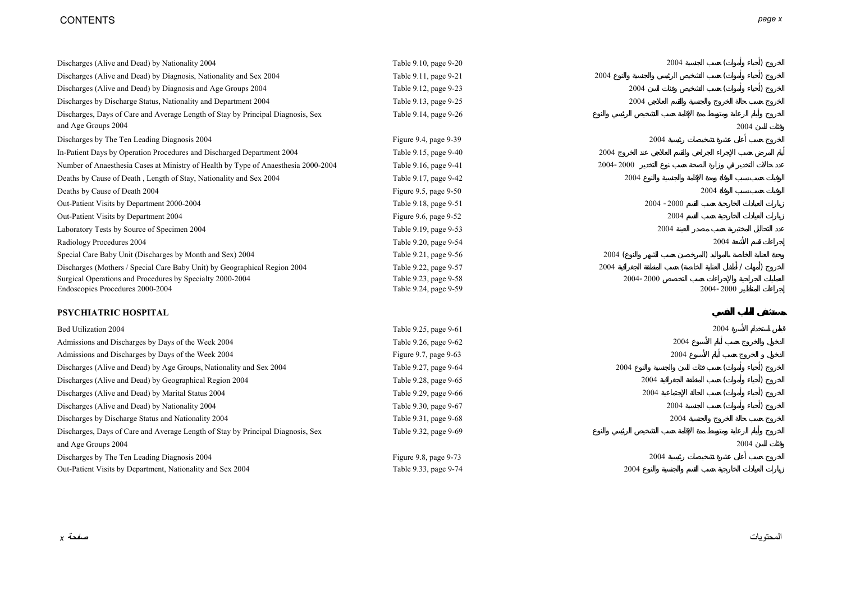# CONTENTS *page x*

| Discharges (Alive and Dead) by Nationality 2004                                    | Table 9.10, page 9-20 | 2004          |           |      |
|------------------------------------------------------------------------------------|-----------------------|---------------|-----------|------|
| Discharges (Alive and Dead) by Diagnosis, Nationality and Sex 2004                 | Table 9.11, page 9-21 | 2004          |           |      |
| Discharges (Alive and Dead) by Diagnosis and Age Groups 2004                       | Table 9.12, page 9-23 | 2004          |           |      |
| Discharges by Discharge Status, Nationality and Department 2004                    | Table 9.13, page 9-25 | 2004          |           |      |
| Discharges, Days of Care and Average Length of Stay by Principal Diagnosis, Sex    | Table 9.14, page 9-26 |               |           |      |
| and Age Groups 2004                                                                |                       |               |           | 2004 |
| Discharges by The Ten Leading Diagnosis 2004                                       | Figure 9.4, page 9-39 | 2004          |           |      |
| In-Patient Days by Operation Procedures and Discharged Department 2004             | Table 9.15, page 9-40 | 2004          |           |      |
| Number of Anaesthesia Cases at Ministry of Health by Type of Anaesthesia 2000-2004 | Table 9.16, page 9-41 | 2004-2000     |           |      |
| Deaths by Cause of Death, Length of Stay, Nationality and Sex 2004                 | Table 9.17, page 9-42 | 2004          |           |      |
| Deaths by Cause of Death 2004                                                      | Figure 9.5, page 9-50 |               | 2004      |      |
| Out-Patient Visits by Department 2000-2004                                         | Table 9.18, page 9-51 | $2004 - 2000$ |           |      |
| Out-Patient Visits by Department 2004                                              | Figure 9.6, page 9-52 | 2004          |           |      |
| Laboratory Tests by Source of Specimen 2004                                        | Table 9.19, page 9-53 | 2004          |           |      |
| Radiology Procedures 2004                                                          | Table 9.20, page 9-54 |               | 2004      |      |
| Special Care Baby Unit (Discharges by Month and Sex) 2004                          | Table 9.21, page 9-56 | 2004(         |           |      |
| Discharges (Mothers / Special Care Baby Unit) by Geographical Region 2004          | Table 9.22, page 9-57 | 2004          |           |      |
| Surgical Operations and Procedures by Specialty 2000-2004                          | Table 9.23, page 9-58 | 2004-2000     |           |      |
| Endoscopies Procedures 2000-2004                                                   | Table 9.24, page 9-59 |               | 2004-2000 |      |
| PSYCHIATRIC HOSPITAL                                                               |                       |               |           |      |
| Bed Utilization 2004                                                               | Table 9.25, page 9-61 |               | 2004      |      |
| Admissions and Discharges by Days of the Week 2004                                 | Table 9.26, page 9-62 | 2004          |           |      |
| Admissions and Discharges by Days of the Week 2004                                 | Figure 9.7, page 9-63 | 2004          |           |      |
| Discharges (Alive and Dead) by Age Groups, Nationality and Sex 2004                | Table 9.27, page 9-64 | 2004          |           |      |
| Discharges (Alive and Dead) by Geographical Region 2004                            | Table 9.28, page 9-65 | 2004          |           |      |
| Discharges (Alive and Dead) by Marital Status 2004                                 | Table 9.29, page 9-66 | 2004          |           |      |
| Discharges (Alive and Dead) by Nationality 2004                                    | Table 9.30, page 9-67 | 2004          |           |      |
| Discharges by Discharge Status and Nationality 2004                                | Table 9.31, page 9-68 | 2004          |           |      |
| Discharges, Days of Care and Average Length of Stay by Principal Diagnosis, Sex    | Table 9.32, page 9-69 |               |           |      |
| and Age Groups 2004                                                                |                       |               |           | 2004 |
| Discharges by The Ten Leading Diagnosis 2004                                       | Figure 9.8, page 9-73 | 2004          |           |      |
| Out-Patient Visits by Department, Nationality and Sex 2004                         | Table 9.33, page 9-74 | 2004          |           |      |
|                                                                                    |                       |               |           |      |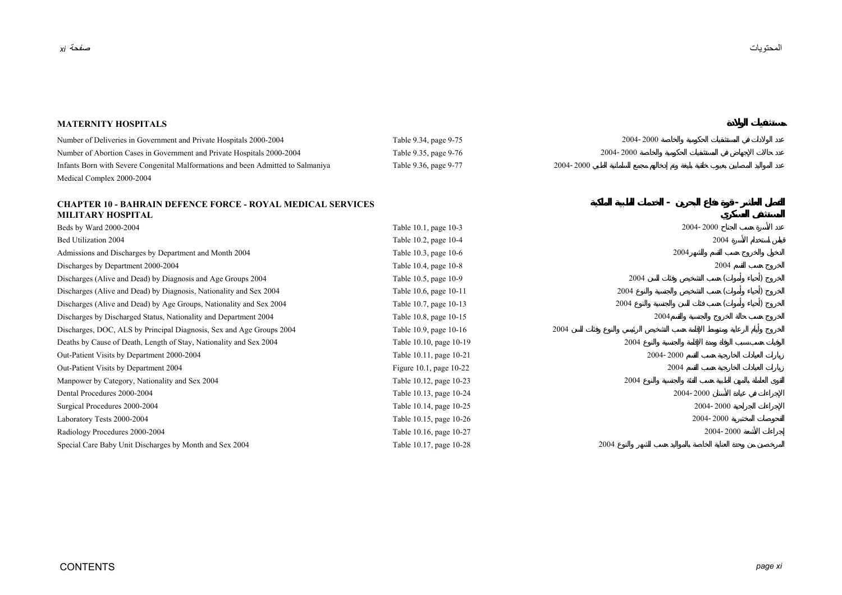**- -**

#### **MATERNITY HOSPITALS**

| Number of Deliveries in Government and Private Hospitals 2000-2004               | Table 9.34, page 9-75 | 2004-2000 |
|----------------------------------------------------------------------------------|-----------------------|-----------|
| Number of Abortion Cases in Government and Private Hospitals 2000-2004           | Table 9.35, page 9-76 | 2004-2000 |
| Infants Born with Severe Congenital Malformations and been Admitted to Salmaniya | Table 9.36, page 9-77 | 2004-2000 |
| Medical Complex 2000-2004                                                        |                       |           |

#### **CHAPTER 10 - BAHRAIN DEFENCE FORCE - ROYAL MEDICAL SERVICES MILITARY HOSPITAL**

| Beds by Ward 2000-2004                                               | Table 10.1, page 10-3   | 2004-2000 |           |  |
|----------------------------------------------------------------------|-------------------------|-----------|-----------|--|
| Bed Utilization 2004                                                 | Table 10.2, page 10-4   |           | 2004      |  |
| Admissions and Discharges by Department and Month 2004               | Table 10.3, page 10-6   |           | 2004      |  |
| Discharges by Department 2000-2004                                   | Table 10.4, page 10-8   |           | 2004      |  |
| Discharges (Alive and Dead) by Diagnosis and Age Groups 2004         | Table 10.5, page 10-9   | 2004      |           |  |
| Discharges (Alive and Dead) by Diagnosis, Nationality and Sex 2004   | Table 10.6, page 10-11  | 2004      |           |  |
| Discharges (Alive and Dead) by Age Groups, Nationality and Sex 2004  | Table 10.7, page 10-13  | 2004      |           |  |
| Discharges by Discharged Status, Nationality and Department 2004     | Table 10.8, page 10-15  | 2004      |           |  |
| Discharges, DOC, ALS by Principal Diagnosis, Sex and Age Groups 2004 | Table 10.9, page 10-16  | 2004      |           |  |
| Deaths by Cause of Death, Length of Stay, Nationality and Sex 2004   | Table 10.10, page 10-19 | 2004      |           |  |
| Out-Patient Visits by Department 2000-2004                           | Table 10.11, page 10-21 | 2004-2000 |           |  |
| Out-Patient Visits by Department 2004                                | Figure 10.1, page 10-22 | 2004      |           |  |
| Manpower by Category, Nationality and Sex 2004                       | Table 10.12, page 10-23 | 2004      |           |  |
| Dental Procedures 2000-2004                                          | Table 10.13, page 10-24 |           | 2004-2000 |  |
| Surgical Procedures 2000-2004                                        | Table 10.14, page 10-25 |           | 2004-2000 |  |
| Laboratory Tests 2000-2004                                           | Table 10.15, page 10-26 |           | 2004-2000 |  |
| Radiology Procedures 2000-2004                                       | Table 10.16, page 10-27 |           | 2004-2000 |  |
| Special Care Baby Unit Discharges by Month and Sex 2004              | Table 10.17, page 10-28 | 2004      |           |  |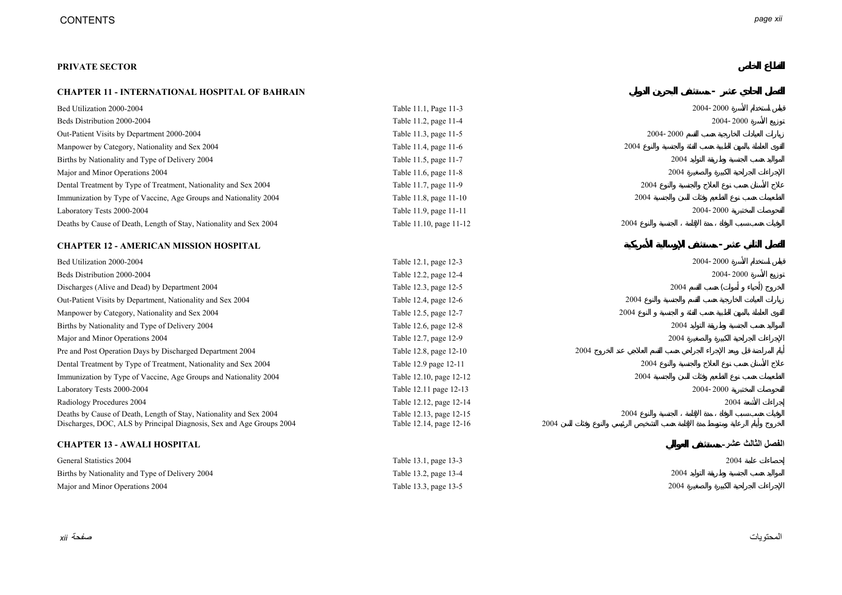#### **PRIVATE SECTOR**

#### **CHAPTER 11 - INTERNATIONAL HOSPITAL OF BAHRAIN -**

| Bed Utilization 2000-2004                                            | Table 11.1, Page 11-3   |      |      |           | 2004-2000 |                     |
|----------------------------------------------------------------------|-------------------------|------|------|-----------|-----------|---------------------|
| Beds Distribution 2000-2004                                          | Table 11.2, page 11-4   |      |      |           | 2004-2000 |                     |
| Out-Patient Visits by Department 2000-2004                           | Table 11.3, page 11-5   |      |      | 2004-2000 |           |                     |
| Manpower by Category, Nationality and Sex 2004                       | Table 11.4, page 11-6   |      | 2004 |           |           |                     |
| Births by Nationality and Type of Delivery 2004                      | Table 11.5, page 11-7   |      |      | 2004      |           |                     |
| Major and Minor Operations 2004                                      | Table 11.6, page 11-8   |      |      | 2004      |           |                     |
| Dental Treatment by Type of Treatment, Nationality and Sex 2004      | Table 11.7, page 11-9   |      | 2004 |           |           |                     |
| Immunization by Type of Vaccine, Age Groups and Nationality 2004     | Table 11.8, page 11-10  |      | 2004 |           |           |                     |
| Laboratory Tests 2000-2004                                           | Table 11.9, page 11-11  |      |      |           | 2004-2000 |                     |
| Deaths by Cause of Death, Length of Stay, Nationality and Sex 2004   | Table 11.10, page 11-12 |      | 2004 |           |           |                     |
| <b>CHAPTER 12 - AMERICAN MISSION HOSPITAL</b>                        |                         |      |      |           |           |                     |
| Bed Utilization 2000-2004                                            | Table 12.1, page 12-3   |      |      |           | 2004-2000 |                     |
| Beds Distribution 2000-2004                                          | Table 12.2, page 12-4   |      |      |           | 2004-2000 |                     |
| Discharges (Alive and Dead) by Department 2004                       | Table 12.3, page 12-5   |      |      | 2004      |           |                     |
| Out-Patient Visits by Department, Nationality and Sex 2004           | Table 12.4, page 12-6   |      | 2004 |           |           |                     |
| Manpower by Category, Nationality and Sex 2004                       | Table 12.5, page 12-7   |      | 2004 |           |           |                     |
| Births by Nationality and Type of Delivery 2004                      | Table 12.6, page 12-8   |      |      | 2004      |           |                     |
| Major and Minor Operations 2004                                      | Table 12.7, page 12-9   |      |      | 2004      |           |                     |
| Pre and Post Operation Days by Discharged Department 2004            | Table 12.8, page 12-10  | 2004 |      |           |           |                     |
| Dental Treatment by Type of Treatment, Nationality and Sex 2004      | Table 12.9 page 12-11   |      | 2004 |           |           |                     |
| Immunization by Type of Vaccine, Age Groups and Nationality 2004     | Table 12.10, page 12-12 |      | 2004 |           |           |                     |
| Laboratory Tests 2000-2004                                           | Table 12.11 page 12-13  |      |      |           | 2004-2000 |                     |
| Radiology Procedures 2004                                            | Table 12.12, page 12-14 |      |      |           | 2004      |                     |
| Deaths by Cause of Death, Length of Stay, Nationality and Sex 2004   | Table 12.13, page 12-15 |      | 2004 |           |           |                     |
| Discharges, DOC, ALS by Principal Diagnosis, Sex and Age Groups 2004 | Table 12.14, page 12-16 | 2004 |      |           |           |                     |
| <b>CHAPTER 13 - AWALI HOSPITAL</b>                                   |                         |      |      |           |           | الفصل الثالث عثىر ـ |
| General Statistics 2004                                              | Table 13.1, page 13-3   |      |      |           | 2004      |                     |
| Births by Nationality and Type of Delivery 2004                      | Table 13.2, page 13-4   |      |      | 2004      |           |                     |
| Major and Minor Operations 2004                                      | Table 13.3, page 13-5   |      |      | 2004      |           |                     |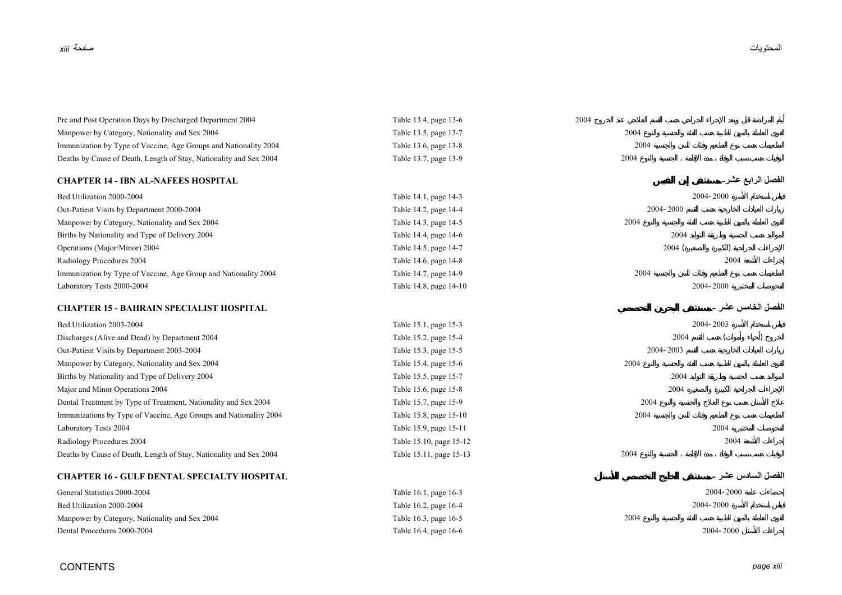| Pre and Post Operation Days by Discharged Department 2004          | Table 13.4, page 13-6   | 2004               |  |
|--------------------------------------------------------------------|-------------------------|--------------------|--|
| Manpower by Category, Nationality and Sex 2004                     | Table 13.5, page 13-7   | 2004               |  |
| Immunization by Type of Vaccine, Age Groups and Nationality 2004   | Table 13.6, page 13-8   | 2004               |  |
| Deaths by Cause of Death, Length of Stay, Nationality and Sex 2004 | Table 13.7, page 13-9   | 2004               |  |
| <b>CHAPTER 14 - IBN AL-NAFEES HOSPITAL</b>                         |                         | الفصل الرابع عشر۔  |  |
| Bed Utilization 2000-2004                                          | Table 14.1, page 14-3   | 2004-2000          |  |
| Out-Patient Visits by Department 2000-2004                         | Table 14.2, page 14-4   | 2004-2000          |  |
| Manpower by Category, Nationality and Sex 2004                     | Table 14.3, page 14-5   | 2004               |  |
| Births by Nationality and Type of Delivery 2004                    | Table 14.4, page 14-6   | 2004               |  |
| Operations (Major/Minor) 2004                                      | Table 14.5, page 14-7   | 2004(              |  |
| Radiology Procedures 2004                                          | Table 14.6, page 14-8   | 2004               |  |
| Immunization by Type of Vaccine, Age Group and Nationality 2004    | Table 14.7, page 14-9   | 2004               |  |
| Laboratory Tests 2000-2004                                         | Table 14.8, page 14-10  | 2004-2000          |  |
| <b>CHAPTER 15 - BAHRAIN SPECIALIST HOSPITAL</b>                    |                         | الفصل الخامس عشر ۔ |  |
| Bed Utilization 2003-2004                                          | Table 15.1, page 15-3   | 2004-2003          |  |
| Discharges (Alive and Dead) by Department 2004                     | Table 15.2, page 15-4   | 2004               |  |
| Out-Patient Visits by Department 2003-2004                         | Table 15.3, page 15-5   | 2004-2003          |  |
| Manpower by Category, Nationality and Sex 2004                     | Table 15.4, page 15-6   | 2004               |  |
| Births by Nationality and Type of Delivery 2004                    | Table 15.5, page 15-7   | 2004               |  |
| Major and Minor Operations 2004                                    | Table 15.6, page 15-8   | 2004               |  |
| Dental Treatment by Type of Treatment, Nationality and Sex 2004    | Table 15.7, page 15-9   | 2004               |  |
| Immunizations by Type of Vaccine, Age Groups and Nationality 2004  | Table 15.8, page 15-10  | 2004               |  |
| Laboratory Tests 2004                                              | Table 15.9, page 15-11  | 2004               |  |
| Radiology Procedures 2004                                          | Table 15.10, page 15-12 | 2004               |  |
| Deaths by Cause of Death, Length of Stay, Nationality and Sex 2004 | Table 15.11, page 15-13 | 2004               |  |
| <b>CHAPTER 16 - GULF DENTAL SPECIALTY HOSPITAL</b>                 |                         | الفصل السادس عشر _ |  |
| General Statistics 2000-2004                                       | Table 16.1, page 16-3   | 2004-2000          |  |
| Bed Utilization 2000-2004                                          | Table 16.2, page 16-4   | 2004-2000          |  |
| Manpower by Category, Nationality and Sex 2004                     | Table 16.3, page 16-5   | 2004               |  |
| Dental Procedures 2000-2004                                        | Table 16.4, page 16-6   | 2004-2000          |  |